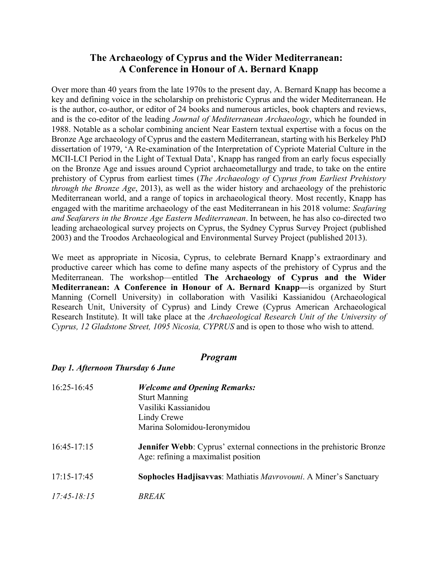## **The Archaeology of Cyprus and the Wider Mediterranean: A Conference in Honour of A. Bernard Knapp**

Over more than 40 years from the late 1970s to the present day, A. Bernard Knapp has become a key and defining voice in the scholarship on prehistoric Cyprus and the wider Mediterranean. He is the author, co-author, or editor of 24 books and numerous articles, book chapters and reviews, and is the co-editor of the leading *Journal of Mediterranean Archaeology*, which he founded in 1988. Notable as a scholar combining ancient Near Eastern textual expertise with a focus on the Bronze Age archaeology of Cyprus and the eastern Mediterranean, starting with his Berkeley PhD dissertation of 1979, 'A Re-examination of the Interpretation of Cypriote Material Culture in the MCII-LCI Period in the Light of Textual Data', Knapp has ranged from an early focus especially on the Bronze Age and issues around Cypriot archaeometallurgy and trade, to take on the entire prehistory of Cyprus from earliest times (*The Archaeology of Cyprus from Earliest Prehistory through the Bronze Age*, 2013), as well as the wider history and archaeology of the prehistoric Mediterranean world, and a range of topics in archaeological theory. Most recently, Knapp has engaged with the maritime archaeology of the east Mediterranean in his 2018 volume: *Seafaring and Seafarers in the Bronze Age Eastern Mediterranean*. In between, he has also co-directed two leading archaeological survey projects on Cyprus, the Sydney Cyprus Survey Project (published 2003) and the Troodos Archaeological and Environmental Survey Project (published 2013).

We meet as appropriate in Nicosia, Cyprus, to celebrate Bernard Knapp's extraordinary and productive career which has come to define many aspects of the prehistory of Cyprus and the Mediterranean. The workshop—entitled **The Archaeology of Cyprus and the Wider Mediterranean: A Conference in Honour of A. Bernard Knapp—**is organized by Sturt Manning (Cornell University) in collaboration with Vasiliki Kassianidou (Archaeological Research Unit, University of Cyprus) and Lindy Crewe (Cyprus American Archaeological Research Institute). It will take place at the *Archaeological Research Unit of the University of Cyprus, 12 Gladstone Street, 1095 Nicosia, CYPRUS* and is open to those who wish to attend.

## *Program*

## *Day 1. Afternoon Thursday 6 June*

| $16:25 - 16:45$ | <b>Welcome and Opening Remarks:</b><br><b>Sturt Manning</b><br>Vasiliki Kassianidou<br>Lindy Crewe<br>Marina Solomidou-Ieronymidou |
|-----------------|------------------------------------------------------------------------------------------------------------------------------------|
| $16:45-17:15$   | <b>Jennifer Webb</b> : Cyprus' external connections in the prehistoric Bronze<br>Age: refining a maximalist position               |
| $17:15 - 17:45$ | Sophocles Hadjisavvas: Mathiatis Mavrovouni. A Miner's Sanctuary                                                                   |
| $17:45 - 18:15$ | <b>BREAK</b>                                                                                                                       |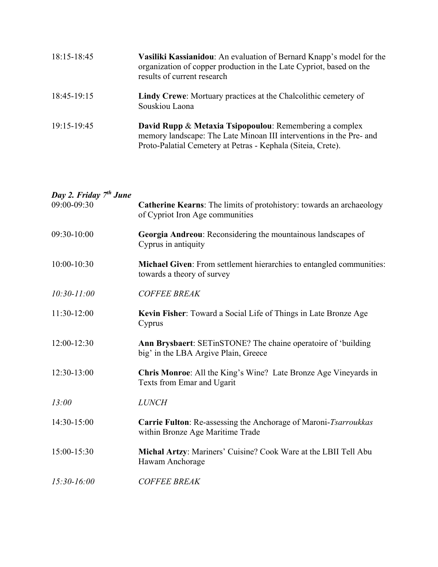| 18:15-18:45 | Vasiliki Kassianidou: An evaluation of Bernard Knapp's model for the<br>organization of copper production in the Late Cypriot, based on the<br>results of current research                     |
|-------------|------------------------------------------------------------------------------------------------------------------------------------------------------------------------------------------------|
| 18:45-19:15 | <b>Lindy Crewe:</b> Mortuary practices at the Chalcolithic cemetery of<br>Souskiou Laona                                                                                                       |
| 19:15-19:45 | David Rupp & Metaxia Tsipopoulou: Remembering a complex<br>memory landscape: The Late Minoan III interventions in the Pre- and<br>Proto-Palatial Cemetery at Petras - Kephala (Siteia, Crete). |

## *Day 2. Friday 7th June* 09:00-09:30 **Catherine Kearns**: The limits of protohistory: towards an archaeology of Cypriot Iron Age communities 09:30-10:00 **Georgia Andreou**: Reconsidering the mountainous landscapes of Cyprus in antiquity 10:00-10:30 **Michael Given**: From settlement hierarchies to entangled communities: towards a theory of survey *10:30-11:00 COFFEE BREAK* 11:30-12:00 **Kevin Fisher**: Toward a Social Life of Things in Late Bronze Age Cyprus 12:00-12:30 **Ann Brysbaert**: SETinSTONE? The chaine operatoire of 'building big' in the LBA Argive Plain, Greece 12:30-13:00 **Chris Monroe**: All the King's Wine? Late Bronze Age Vineyards in Texts from Emar and Ugarit *13:00 LUNCH* 14:30-15:00 **Carrie Fulton**: Re-assessing the Anchorage of Maroni-*Tsarroukkas* within Bronze Age Maritime Trade 15:00-15:30 **Michal Artzy**: Mariners' Cuisine? Cook Ware at the LBII Tell Abu Hawam Anchorage *15:30-16:00 COFFEE BREAK*